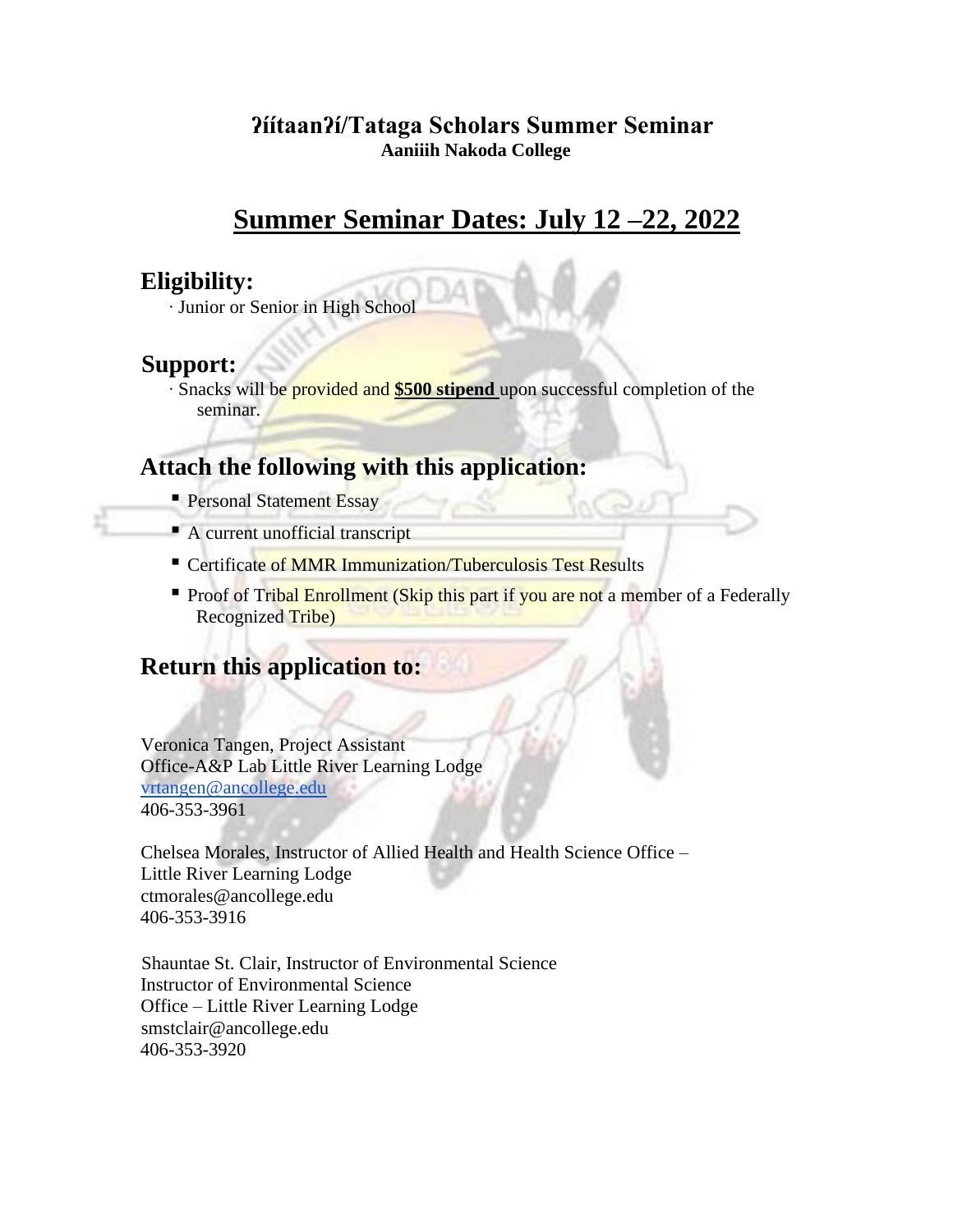#### **ʔíítaanʔí/Tataga Scholars Summer Seminar Aaniiih Nakoda College**

# **Summer Seminar Dates: July 12 –22, 2022**

## **Eligibility:**

∙ Junior or Senior in High School

# **Support:**

∙ Snacks will be provided and **\$500 stipend** upon successful completion of the seminar.

# **Attach the following with this application:**

- **Personal Statement Essay**
- $\blacksquare$  A current unofficial transcript
- **EXECUTE:** Certificate of MMR Immunization/Tuberculosis Test Results
- Proof of Tribal Enrollment (Skip this part if you are not a member of a Federally Recognized Tribe)

# **Return this application to:**

Veronica Tangen, Project Assistant Office-A&P Lab Little River Learning Lodge [vrtangen@ancollege.edu](mailto:vrtangen@ancollege.edu) 406-353-3961

Chelsea Morales, Instructor of Allied Health and Health Science Office – Little River Learning Lodge ctmorales@ancollege.edu 406-353-3916

Shauntae St. Clair, Instructor of Environmental Science Instructor of Environmental Science Office – Little River Learning Lodge smstclair@ancollege.edu 406-353-3920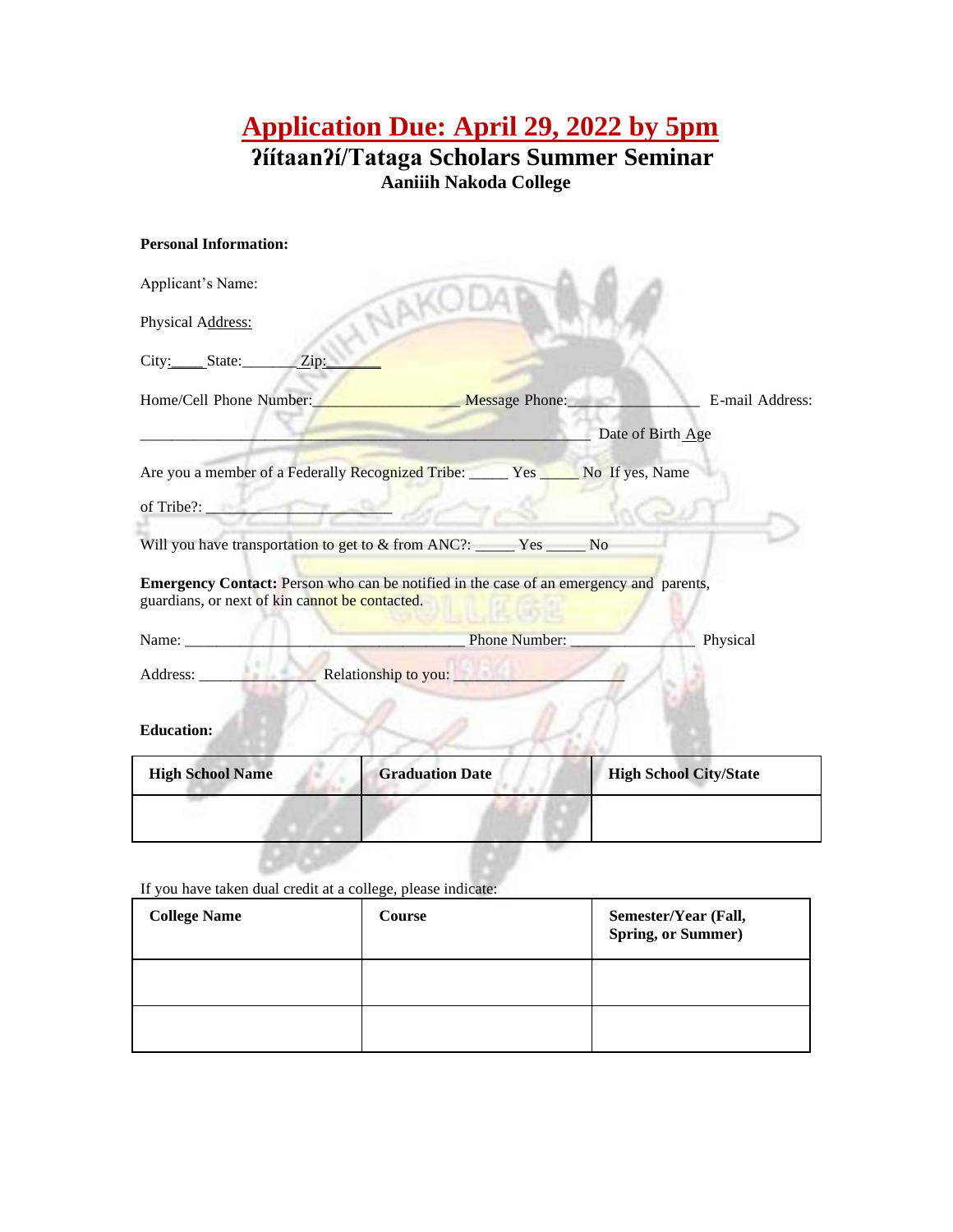**Application Due: April 29, 2022 by 5pm** 

**ʔíítaanʔí/Tataga Scholars Summer Seminar Aaniiih Nakoda College** 

| <b>Personal Information:</b>                                                                                                                    |               |                   |
|-------------------------------------------------------------------------------------------------------------------------------------------------|---------------|-------------------|
| Applicant's Name:                                                                                                                               |               |                   |
| HNAKOD<br>Physical Address:                                                                                                                     |               |                   |
| City: State: $\angle$ Zip:                                                                                                                      |               |                   |
| Home/Cell Phone Number:<br>Message Phone:                                                                                                       |               | E-mail Address:   |
|                                                                                                                                                 |               | Date of Birth Age |
| Are you a member of a Federally Recognized Tribe: _____ Yes ____ No If yes, Name                                                                |               |                   |
| of Tribe?:                                                                                                                                      |               |                   |
| Will you have transportation to get to & from ANC?: _____ Yes _____ No                                                                          |               |                   |
| <b>Emergency Contact:</b> Person who can be notified in the case of an emergency and parents,<br>guardians, or next of kin cannot be contacted. |               |                   |
| Name:                                                                                                                                           | Phone Number: | Physical          |
|                                                                                                                                                 |               |                   |
| <b>Education:</b>                                                                                                                               |               |                   |

| <b>High School Name</b> | <b>Graduation Date</b> | <b>High School City/State</b> |
|-------------------------|------------------------|-------------------------------|
|                         |                        |                               |

If you have taken dual credit at a college, please indicate:

| <b>College Name</b> | Course | Semester/Year (Fall,<br><b>Spring, or Summer)</b> |
|---------------------|--------|---------------------------------------------------|
|                     |        |                                                   |
|                     |        |                                                   |